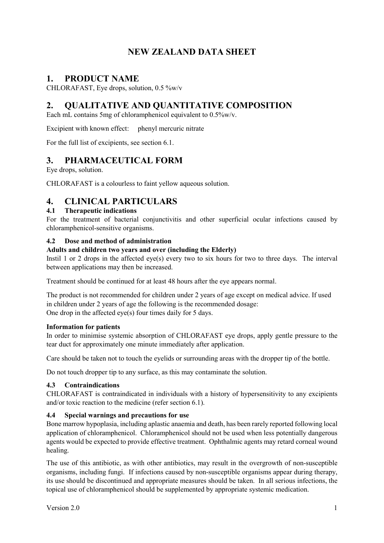# **NEW ZEALAND DATA SHEET**

## **1. PRODUCT NAME**

CHLORAFAST, Eye drops, solution, 0.5 %w/v

# **2. QUALITATIVE AND QUANTITATIVE COMPOSITION**

Each mL contains 5mg of chloramphenicol equivalent to 0.5%w/v.

Excipient with known effect: phenyl mercuric nitrate

For the full list of excipients, see section 6.1.

## **3. PHARMACEUTICAL FORM**

Eye drops, solution.

CHLORAFAST is a colourless to faint yellow aqueous solution.

## **4. CLINICAL PARTICULARS**

### **4.1 Therapeutic indications**

For the treatment of bacterial conjunctivitis and other superficial ocular infections caused by chloramphenicol-sensitive organisms.

### **4.2 Dose and method of administration**

### **Adults and children two years and over (including the Elderly)**

Instil 1 or 2 drops in the affected eye(s) every two to six hours for two to three days. The interval between applications may then be increased.

Treatment should be continued for at least 48 hours after the eye appears normal.

The product is not recommended for children under 2 years of age except on medical advice. If used in children under 2 years of age the following is the recommended dosage: One drop in the affected eye(s) four times daily for 5 days.

### **Information for patients**

In order to minimise systemic absorption of CHLORAFAST eye drops, apply gentle pressure to the tear duct for approximately one minute immediately after application.

Care should be taken not to touch the eyelids or surrounding areas with the dropper tip of the bottle.

Do not touch dropper tip to any surface, as this may contaminate the solution.

### **4.3 Contraindications**

CHLORAFAST is contraindicated in individuals with a history of hypersensitivity to any excipients and/or toxic reaction to the medicine (refer section 6.1).

### **4.4 Special warnings and precautions for use**

Bone marrow hypoplasia, including aplastic anaemia and death, has been rarely reported following local application of chloramphenicol. Chloramphenicol should not be used when less potentially dangerous agents would be expected to provide effective treatment. Ophthalmic agents may retard corneal wound healing.

The use of this antibiotic, as with other antibiotics, may result in the overgrowth of non-susceptible organisms, including fungi. If infections caused by non-susceptible organisms appear during therapy, its use should be discontinued and appropriate measures should be taken. In all serious infections, the topical use of chloramphenicol should be supplemented by appropriate systemic medication.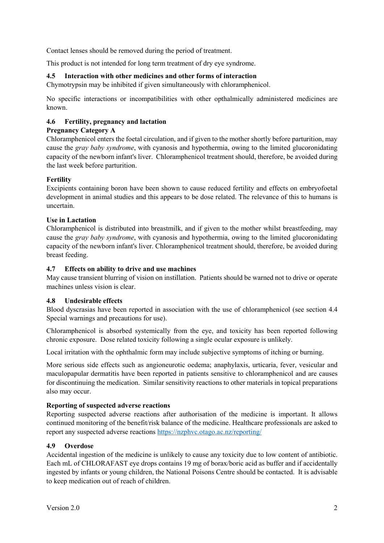Contact lenses should be removed during the period of treatment.

This product is not intended for long term treatment of dry eye syndrome.

#### **4.5 Interaction with other medicines and other forms of interaction**

Chymotrypsin may be inhibited if given simultaneously with chloramphenicol.

No specific interactions or incompatibilities with other opthalmically administered medicines are known.

### **4.6 Fertility, pregnancy and lactation**

#### **Pregnancy Category A**

Chloramphenicol enters the foetal circulation, and if given to the mother shortly before parturition, may cause the *gray baby syndrome*, with cyanosis and hypothermia, owing to the limited glucoronidating capacity of the newborn infant's liver. Chloramphenicol treatment should, therefore, be avoided during the last week before parturition.

### **Fertility**

Excipients containing boron have been shown to cause reduced fertility and effects on embryofoetal development in animal studies and this appears to be dose related. The relevance of this to humans is uncertain.

#### **Use in Lactation**

Chloramphenicol is distributed into breastmilk, and if given to the mother whilst breastfeeding, may cause the *gray baby syndrome*, with cyanosis and hypothermia, owing to the limited glucoronidating capacity of the newborn infant's liver. Chloramphenicol treatment should, therefore, be avoided during breast feeding.

#### **4.7 Effects on ability to drive and use machines**

May cause transient blurring of vision on instillation. Patients should be warned not to drive or operate machines unless vision is clear.

#### **4.8 Undesirable effects**

Blood dyscrasias have been reported in association with the use of chloramphenicol (see section 4.4 Special warnings and precautions for use).

Chloramphenicol is absorbed systemically from the eye, and toxicity has been reported following chronic exposure. Dose related toxicity following a single ocular exposure is unlikely.

Local irritation with the ophthalmic form may include subjective symptoms of itching or burning.

More serious side effects such as angioneurotic oedema; anaphylaxis, urticaria, fever, vesicular and maculopapular dermatitis have been reported in patients sensitive to chloramphenicol and are causes for discontinuing the medication. Similar sensitivity reactions to other materials in topical preparations also may occur.

#### **Reporting of suspected adverse reactions**

Reporting suspected adverse reactions after authorisation of the medicine is important. It allows continued monitoring of the benefit/risk balance of the medicine. Healthcare professionals are asked to report any suspected adverse reactions <https://nzphvc.otago.ac.nz/reporting/>

#### **4.9 Overdose**

Accidental ingestion of the medicine is unlikely to cause any toxicity due to low content of antibiotic. Each mL of CHLORAFAST eye drops contains 19 mg of borax/boric acid as buffer and if accidentally ingested by infants or young children, the National Poisons Centre should be contacted. It is advisable to keep medication out of reach of children.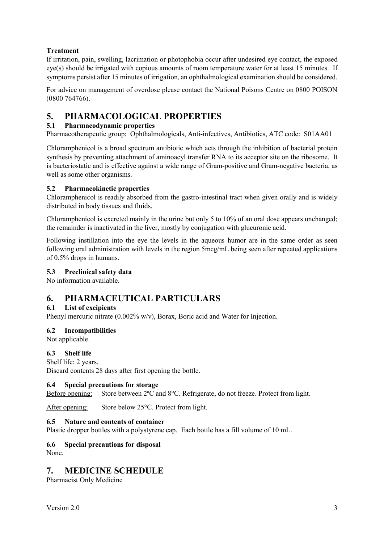## **Treatment**

If irritation, pain, swelling, lacrimation or photophobia occur after undesired eye contact, the exposed eye(s) should be irrigated with copious amounts of room temperature water for at least 15 minutes. If symptoms persist after 15 minutes of irrigation, an ophthalmological examination should be considered.

For advice on management of overdose please contact the National Poisons Centre on 0800 POISON (0800 764766).

## **5. PHARMACOLOGICAL PROPERTIES**

### **5.1 Pharmacodynamic properties**

Pharmacotherapeutic group: Ophthalmologicals, Anti-infectives, Antibiotics, ATC code: S01AA01

Chloramphenicol is a broad spectrum antibiotic which acts through the inhibition of bacterial protein synthesis by preventing attachment of aminoacyl transfer RNA to its acceptor site on the ribosome. It is bacteriostatic and is effective against a wide range of Gram-positive and Gram-negative bacteria, as well as some other organisms.

### **5.2 Pharmacokinetic properties**

Chloramphenicol is readily absorbed from the gastro-intestinal tract when given orally and is widely distributed in body tissues and fluids.

Chloramphenicol is excreted mainly in the urine but only 5 to 10% of an oral dose appears unchanged; the remainder is inactivated in the liver, mostly by conjugation with glucuronic acid.

Following instillation into the eye the levels in the aqueous humor are in the same order as seen following oral administration with levels in the region 5mcg/mL being seen after repeated applications of 0.5% drops in humans.

### **5.3 Preclinical safety data**

No information available.

## **6. PHARMACEUTICAL PARTICULARS**

### **6.1 List of excipients**

Phenyl mercuric nitrate (0.002% w/v), Borax, Boric acid and Water for Injection.

### **6.2 Incompatibilities**

Not applicable.

### **6.3 Shelf life**

Shelf life: 2 years.

Discard contents 28 days after first opening the bottle.

#### **6.4 Special precautions for storage**

Before opening: Store between 2°C and 8°C. Refrigerate, do not freeze. Protect from light.

After opening: Store below 25°C. Protect from light.

#### **6.5 Nature and contents of container**

Plastic dropper bottles with a polystyrene cap. Each bottle has a fill volume of 10 mL.

#### **6.6 Special precautions for disposal** None.

# **7. MEDICINE SCHEDULE**

Pharmacist Only Medicine